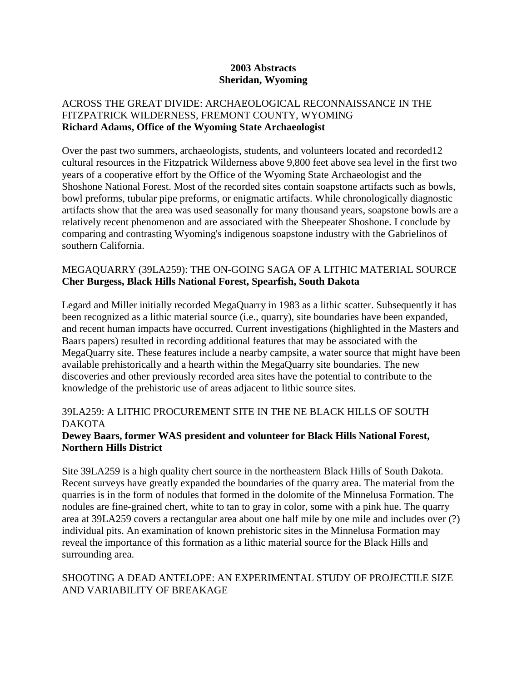#### **2003 Abstracts Sheridan, Wyoming**

### ACROSS THE GREAT DIVIDE: ARCHAEOLOGICAL RECONNAISSANCE IN THE FITZPATRICK WILDERNESS, FREMONT COUNTY, WYOMING **Richard Adams, Office of the Wyoming State Archaeologist**

Over the past two summers, archaeologists, students, and volunteers located and recorded12 cultural resources in the Fitzpatrick Wilderness above 9,800 feet above sea level in the first two years of a cooperative effort by the Office of the Wyoming State Archaeologist and the Shoshone National Forest. Most of the recorded sites contain soapstone artifacts such as bowls, bowl preforms, tubular pipe preforms, or enigmatic artifacts. While chronologically diagnostic artifacts show that the area was used seasonally for many thousand years, soapstone bowls are a relatively recent phenomenon and are associated with the Sheepeater Shoshone. I conclude by comparing and contrasting Wyoming's indigenous soapstone industry with the Gabrielinos of southern California.

### MEGAQUARRY (39LA259): THE ON-GOING SAGA OF A LITHIC MATERIAL SOURCE **Cher Burgess, Black Hills National Forest, Spearfish, South Dakota**

Legard and Miller initially recorded MegaQuarry in 1983 as a lithic scatter. Subsequently it has been recognized as a lithic material source (i.e., quarry), site boundaries have been expanded, and recent human impacts have occurred. Current investigations (highlighted in the Masters and Baars papers) resulted in recording additional features that may be associated with the MegaQuarry site. These features include a nearby campsite, a water source that might have been available prehistorically and a hearth within the MegaQuarry site boundaries. The new discoveries and other previously recorded area sites have the potential to contribute to the knowledge of the prehistoric use of areas adjacent to lithic source sites.

### 39LA259: A LITHIC PROCUREMENT SITE IN THE NE BLACK HILLS OF SOUTH DAKOTA

#### **Dewey Baars, former WAS president and volunteer for Black Hills National Forest, Northern Hills District**

Site 39LA259 is a high quality chert source in the northeastern Black Hills of South Dakota. Recent surveys have greatly expanded the boundaries of the quarry area. The material from the quarries is in the form of nodules that formed in the dolomite of the Minnelusa Formation. The nodules are fine-grained chert, white to tan to gray in color, some with a pink hue. The quarry area at 39LA259 covers a rectangular area about one half mile by one mile and includes over (?) individual pits. An examination of known prehistoric sites in the Minnelusa Formation may reveal the importance of this formation as a lithic material source for the Black Hills and surrounding area.

### SHOOTING A DEAD ANTELOPE: AN EXPERIMENTAL STUDY OF PROJECTILE SIZE AND VARIABILITY OF BREAKAGE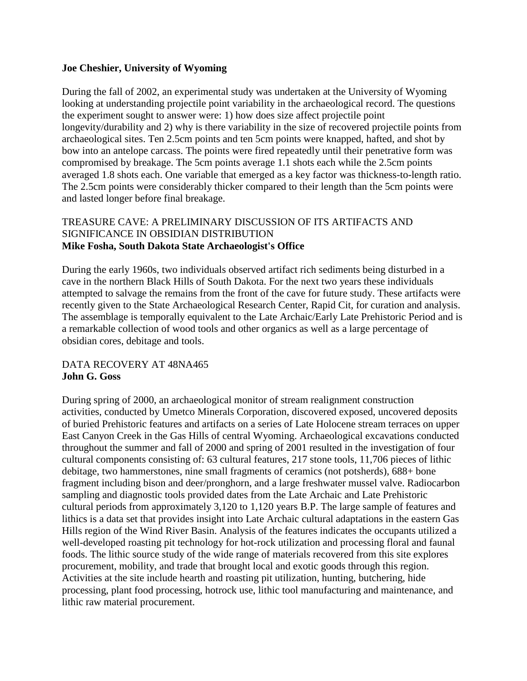#### **Joe Cheshier, University of Wyoming**

During the fall of 2002, an experimental study was undertaken at the University of Wyoming looking at understanding projectile point variability in the archaeological record. The questions the experiment sought to answer were: 1) how does size affect projectile point longevity/durability and 2) why is there variability in the size of recovered projectile points from archaeological sites. Ten 2.5cm points and ten 5cm points were knapped, hafted, and shot by bow into an antelope carcass. The points were fired repeatedly until their penetrative form was compromised by breakage. The 5cm points average 1.1 shots each while the 2.5cm points averaged 1.8 shots each. One variable that emerged as a key factor was thickness-to-length ratio. The 2.5cm points were considerably thicker compared to their length than the 5cm points were and lasted longer before final breakage.

### TREASURE CAVE: A PRELIMINARY DISCUSSION OF ITS ARTIFACTS AND SIGNIFICANCE IN OBSIDIAN DISTRIBUTION **Mike Fosha, South Dakota State Archaeologist's Office**

During the early 1960s, two individuals observed artifact rich sediments being disturbed in a cave in the northern Black Hills of South Dakota. For the next two years these individuals attempted to salvage the remains from the front of the cave for future study. These artifacts were recently given to the State Archaeological Research Center, Rapid Cit, for curation and analysis. The assemblage is temporally equivalent to the Late Archaic/Early Late Prehistoric Period and is a remarkable collection of wood tools and other organics as well as a large percentage of obsidian cores, debitage and tools.

## DATA RECOVERY AT 48NA465 **John G. Goss**

During spring of 2000, an archaeological monitor of stream realignment construction activities, conducted by Umetco Minerals Corporation, discovered exposed, uncovered deposits of buried Prehistoric features and artifacts on a series of Late Holocene stream terraces on upper East Canyon Creek in the Gas Hills of central Wyoming. Archaeological excavations conducted throughout the summer and fall of 2000 and spring of 2001 resulted in the investigation of four cultural components consisting of: 63 cultural features, 217 stone tools, 11,706 pieces of lithic debitage, two hammerstones, nine small fragments of ceramics (not potsherds), 688+ bone fragment including bison and deer/pronghorn, and a large freshwater mussel valve. Radiocarbon sampling and diagnostic tools provided dates from the Late Archaic and Late Prehistoric cultural periods from approximately 3,120 to 1,120 years B.P. The large sample of features and lithics is a data set that provides insight into Late Archaic cultural adaptations in the eastern Gas Hills region of the Wind River Basin. Analysis of the features indicates the occupants utilized a well-developed roasting pit technology for hot-rock utilization and processing floral and faunal foods. The lithic source study of the wide range of materials recovered from this site explores procurement, mobility, and trade that brought local and exotic goods through this region. Activities at the site include hearth and roasting pit utilization, hunting, butchering, hide processing, plant food processing, hotrock use, lithic tool manufacturing and maintenance, and lithic raw material procurement.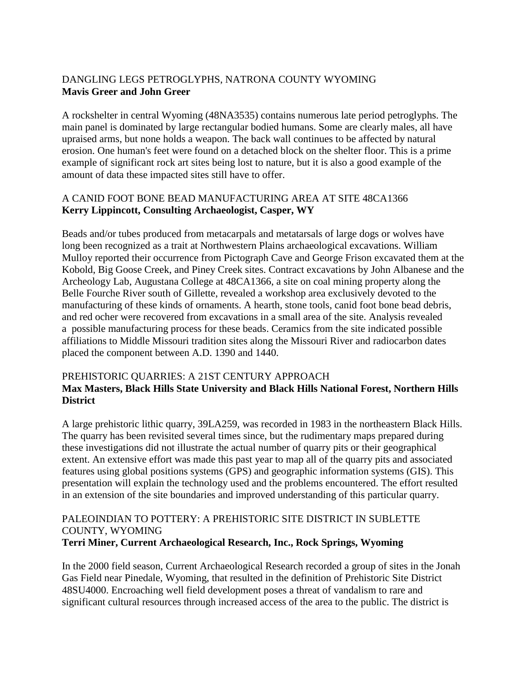# DANGLING LEGS PETROGLYPHS, NATRONA COUNTY WYOMING **Mavis Greer and John Greer**

A rockshelter in central Wyoming (48NA3535) contains numerous late period petroglyphs. The main panel is dominated by large rectangular bodied humans. Some are clearly males, all have upraised arms, but none holds a weapon. The back wall continues to be affected by natural erosion. One human's feet were found on a detached block on the shelter floor. This is a prime example of significant rock art sites being lost to nature, but it is also a good example of the amount of data these impacted sites still have to offer.

## A CANID FOOT BONE BEAD MANUFACTURING AREA AT SITE 48CA1366 **Kerry Lippincott, Consulting Archaeologist, Casper, WY**

Beads and/or tubes produced from metacarpals and metatarsals of large dogs or wolves have long been recognized as a trait at Northwestern Plains archaeological excavations. William Mulloy reported their occurrence from Pictograph Cave and George Frison excavated them at the Kobold, Big Goose Creek, and Piney Creek sites. Contract excavations by John Albanese and the Archeology Lab, Augustana College at 48CA1366, a site on coal mining property along the Belle Fourche River south of Gillette, revealed a workshop area exclusively devoted to the manufacturing of these kinds of ornaments. A hearth, stone tools, canid foot bone bead debris, and red ocher were recovered from excavations in a small area of the site. Analysis revealed a possible manufacturing process for these beads. Ceramics from the site indicated possible affiliations to Middle Missouri tradition sites along the Missouri River and radiocarbon dates placed the component between A.D. 1390 and 1440.

### PREHISTORIC QUARRIES: A 21ST CENTURY APPROACH **Max Masters, Black Hills State University and Black Hills National Forest, Northern Hills District**

A large prehistoric lithic quarry, 39LA259, was recorded in 1983 in the northeastern Black Hills. The quarry has been revisited several times since, but the rudimentary maps prepared during these investigations did not illustrate the actual number of quarry pits or their geographical extent. An extensive effort was made this past year to map all of the quarry pits and associated features using global positions systems (GPS) and geographic information systems (GIS). This presentation will explain the technology used and the problems encountered. The effort resulted in an extension of the site boundaries and improved understanding of this particular quarry.

# PALEOINDIAN TO POTTERY: A PREHISTORIC SITE DISTRICT IN SUBLETTE COUNTY, WYOMING

### **Terri Miner, Current Archaeological Research, Inc., Rock Springs, Wyoming**

In the 2000 field season, Current Archaeological Research recorded a group of sites in the Jonah Gas Field near Pinedale, Wyoming, that resulted in the definition of Prehistoric Site District 48SU4000. Encroaching well field development poses a threat of vandalism to rare and significant cultural resources through increased access of the area to the public. The district is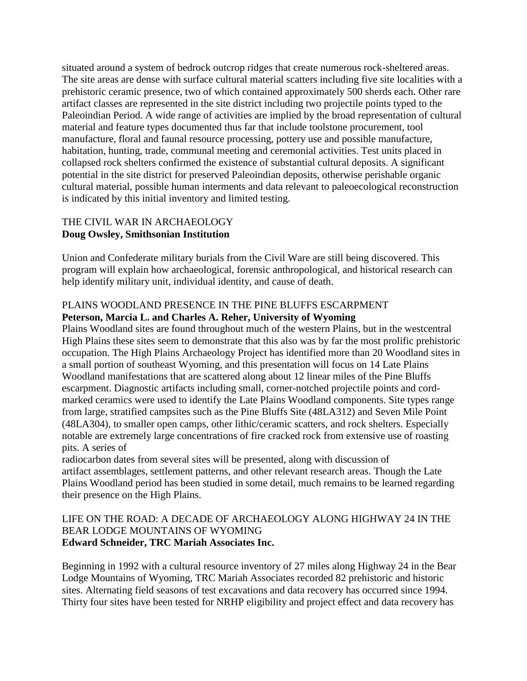situated around a system of bedrock outcrop ridges that create numerous rock-sheltered areas. The site areas are dense with surface cultural material scatters including five site localities with a prehistoric ceramic presence, two of which contained approximately 500 sherds each. Other rare artifact classes are represented in the site district including two projectile points typed to the Paleoindian Period. A wide range of activities are implied by the broad representation of cultural material and feature types documented thus far that include toolstone procurement, tool manufacture, floral and faunal resource processing, pottery use and possible manufacture, habitation, hunting, trade, communal meeting and ceremonial activities. Test units placed in collapsed rock shelters confirmed the existence of substantial cultural deposits. A significant potential in the site district for preserved Paleoindian deposits, otherwise perishable organic cultural material, possible human interments and data relevant to paleoecological reconstruction is indicated by this initial inventory and limited testing.

### THE CIVIL WAR IN ARCHAEOLOGY **Doug Owsley, Smithsonian Institution**

Union and Confederate military burials from the Civil Ware are still being discovered. This program will explain how archaeological, forensic anthropological, and historical research can help identify military unit, individual identity, and cause of death.

# PLAINS WOODLAND PRESENCE IN THE PINE BLUFFS ESCARPMENT **Peterson, Marcia L. and Charles A. Reher, University of Wyoming**

Plains Woodland sites are found throughout much of the western Plains, but in the westcentral High Plains these sites seem to demonstrate that this also was by far the most prolific prehistoric occupation. The High Plains Archaeology Project has identified more than 20 Woodland sites in a small portion of southeast Wyoming, and this presentation will focus on 14 Late Plains Woodland manifestations that are scattered along about 12 linear miles of the Pine Bluffs escarpment. Diagnostic artifacts including small, corner-notched projectile points and cordmarked ceramics were used to identify the Late Plains Woodland components. Site types range from large, stratified campsites such as the Pine Bluffs Site (48LA312) and Seven Mile Point (48LA304), to smaller open camps, other lithic/ceramic scatters, and rock shelters. Especially notable are extremely large concentrations of fire cracked rock from extensive use of roasting pits. A series of

radiocarbon dates from several sites will be presented, along with discussion of artifact assemblages, settlement patterns, and other relevant research areas. Though the Late Plains Woodland period has been studied in some detail, much remains to be learned regarding their presence on the High Plains.

### LIFE ON THE ROAD: A DECADE OF ARCHAEOLOGY ALONG HIGHWAY 24 IN THE BEAR LODGE MOUNTAINS OF WYOMING **Edward Schneider, TRC Mariah Associates Inc.**

Beginning in 1992 with a cultural resource inventory of 27 miles along Highway 24 in the Bear Lodge Mountains of Wyoming, TRC Mariah Associates recorded 82 prehistoric and historic sites. Alternating field seasons of test excavations and data recovery has occurred since 1994. Thirty four sites have been tested for NRHP eligibility and project effect and data recovery has